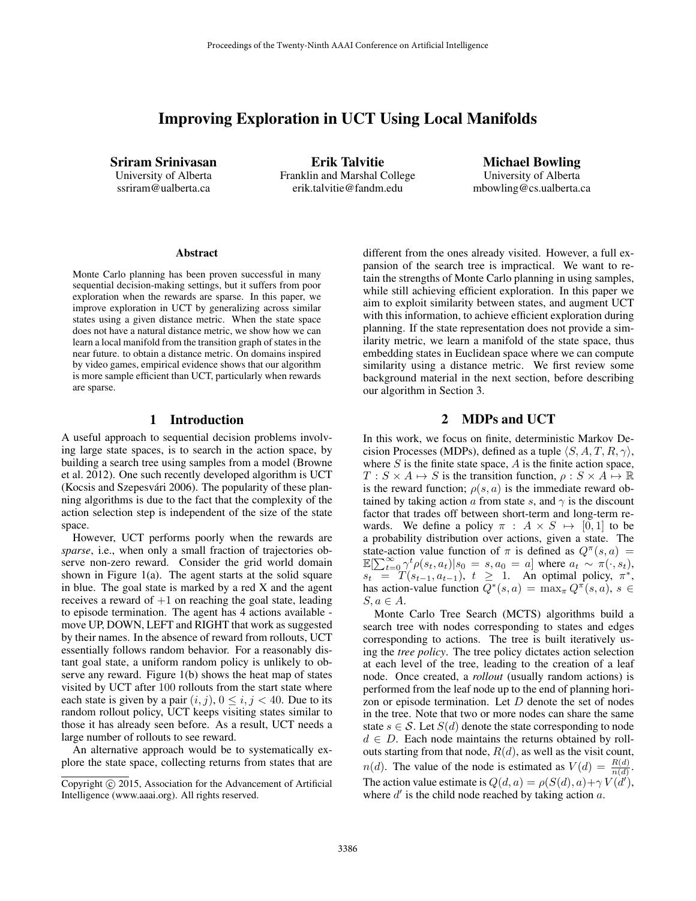# Improving Exploration in UCT Using Local Manifolds

Sriram Srinivasan University of Alberta ssriram@ualberta.ca

Erik Talvitie Franklin and Marshal College erik.talvitie@fandm.edu

Michael Bowling University of Alberta mbowling@cs.ualberta.ca

#### Abstract

Monte Carlo planning has been proven successful in many sequential decision-making settings, but it suffers from poor exploration when the rewards are sparse. In this paper, we improve exploration in UCT by generalizing across similar states using a given distance metric. When the state space does not have a natural distance metric, we show how we can learn a local manifold from the transition graph of states in the near future. to obtain a distance metric. On domains inspired by video games, empirical evidence shows that our algorithm is more sample efficient than UCT, particularly when rewards are sparse.

## 1 Introduction

A useful approach to sequential decision problems involving large state spaces, is to search in the action space, by building a search tree using samples from a model (Browne et al. 2012). One such recently developed algorithm is UCT (Kocsis and Szepesvári 2006). The popularity of these planning algorithms is due to the fact that the complexity of the action selection step is independent of the size of the state space.

However, UCT performs poorly when the rewards are *sparse*, i.e., when only a small fraction of trajectories observe non-zero reward. Consider the grid world domain shown in Figure 1(a). The agent starts at the solid square in blue. The goal state is marked by a red X and the agent receives a reward of  $+1$  on reaching the goal state, leading to episode termination. The agent has 4 actions available move UP, DOWN, LEFT and RIGHT that work as suggested by their names. In the absence of reward from rollouts, UCT essentially follows random behavior. For a reasonably distant goal state, a uniform random policy is unlikely to observe any reward. Figure 1(b) shows the heat map of states visited by UCT after 100 rollouts from the start state where each state is given by a pair  $(i, j)$ ,  $0 \le i, j < 40$ . Due to its random rollout policy, UCT keeps visiting states similar to those it has already seen before. As a result, UCT needs a large number of rollouts to see reward.

An alternative approach would be to systematically explore the state space, collecting returns from states that are different from the ones already visited. However, a full expansion of the search tree is impractical. We want to retain the strengths of Monte Carlo planning in using samples, while still achieving efficient exploration. In this paper we aim to exploit similarity between states, and augment UCT with this information, to achieve efficient exploration during planning. If the state representation does not provide a similarity metric, we learn a manifold of the state space, thus embedding states in Euclidean space where we can compute similarity using a distance metric. We first review some background material in the next section, before describing our algorithm in Section 3.

## 2 MDPs and UCT

In this work, we focus on finite, deterministic Markov Decision Processes (MDPs), defined as a tuple  $\langle S, A, T, R, \gamma \rangle$ , where  $S$  is the finite state space,  $A$  is the finite action space,  $T : S \times A \mapsto S$  is the transition function,  $\rho : S \times A \mapsto \mathbb{R}$ is the reward function;  $\rho(s, a)$  is the immediate reward obtained by taking action a from state s, and  $\gamma$  is the discount factor that trades off between short-term and long-term rewards. We define a policy  $\pi$  :  $A \times S \mapsto [0, 1]$  to be a probability distribution over actions, given a state. The state-action value function of  $\pi$  is defined as  $Q^{\pi}(s, a)$  =  $\mathbb{E}[\sum_{t=0}^{\infty} \gamma^t \rho(s_t, a_t) | s_0 = s, a_0 = a]$  where  $a_t \sim \pi(\cdot, s_t)$ ,  $s_t = T(s_{t-1}, a_{t-1}), t \ge 1$ . An optimal policy,  $\pi^*$ , has action-value function  $Q^*(s, a) = \max_{\pi} Q^{\pi}(s, a), s \in$  $S, a \in A$ .

Monte Carlo Tree Search (MCTS) algorithms build a search tree with nodes corresponding to states and edges corresponding to actions. The tree is built iteratively using the *tree policy*. The tree policy dictates action selection at each level of the tree, leading to the creation of a leaf node. Once created, a *rollout* (usually random actions) is performed from the leaf node up to the end of planning horizon or episode termination. Let  $D$  denote the set of nodes in the tree. Note that two or more nodes can share the same state  $s \in \mathcal{S}$ . Let  $S(d)$  denote the state corresponding to node  $d \in D$ . Each node maintains the returns obtained by rollouts starting from that node,  $R(d)$ , as well as the visit count,  $n(d)$ . The value of the node is estimated as  $V(d) = \frac{R(d)}{n(d)}$ . The action value estimate is  $Q(d, a) = \rho(S(d), a) + \gamma V(d')$ , where  $d'$  is the child node reached by taking action  $a$ .

Copyright (c) 2015, Association for the Advancement of Artificial Intelligence (www.aaai.org). All rights reserved.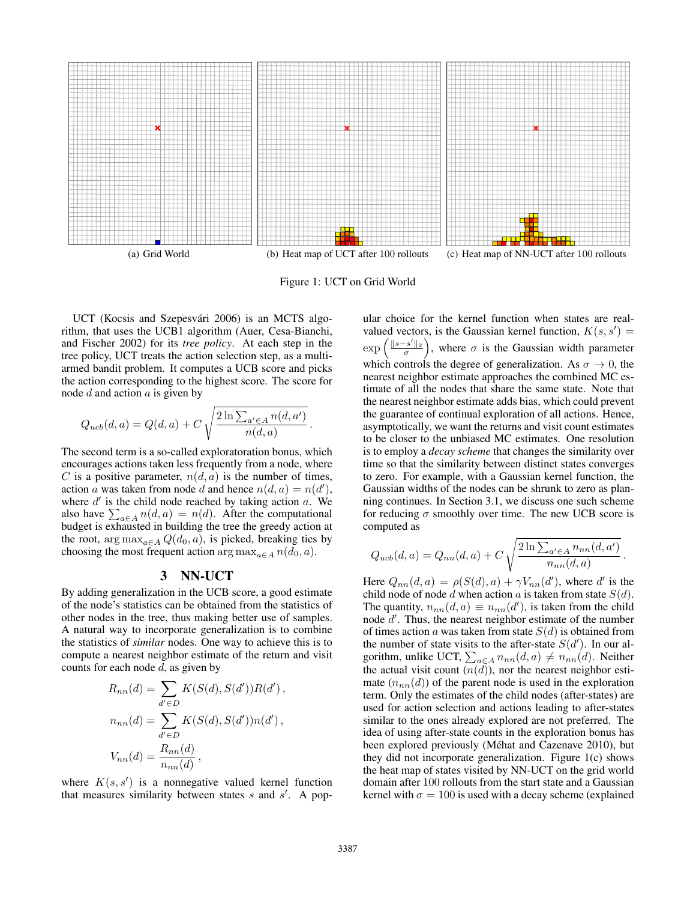

Figure 1: UCT on Grid World

.

UCT (Kocsis and Szepesvári 2006) is an MCTS algorithm, that uses the UCB1 algorithm (Auer, Cesa-Bianchi, and Fischer 2002) for its *tree policy*. At each step in the tree policy, UCT treats the action selection step, as a multiarmed bandit problem. It computes a UCB score and picks the action corresponding to the highest score. The score for node  $d$  and action  $a$  is given by

$$
Q_{ucb}(d,a) = Q(d,a) + C \sqrt{\frac{2 \ln \sum_{a' \in A} n(d,a')}{n(d,a)}}
$$

The second term is a so-called exploratoration bonus, which encourages actions taken less frequently from a node, where C is a positive parameter,  $n(d, a)$  is the number of times, action a was taken from node d and hence  $n(d, a) = n(d')$ , where  $d'$  is the child node reached by taking action  $a$ . We also have  $\sum_{a \in A} n(d, a) = n(d)$ . After the computational budget is exhausted in building the tree the greedy action at the root,  $\arg \max_{a \in A} Q(d_0, a)$ , is picked, breaking ties by choosing the most frequent action arg max $_{a \in A} n(d_0, a)$ .

### 3 NN-UCT

By adding generalization in the UCB score, a good estimate of the node's statistics can be obtained from the statistics of other nodes in the tree, thus making better use of samples. A natural way to incorporate generalization is to combine the statistics of *similar* nodes. One way to achieve this is to compute a nearest neighbor estimate of the return and visit counts for each node  $d$ , as given by

$$
R_{nn}(d) = \sum_{d' \in D} K(S(d), S(d'))R(d'),
$$
  
\n
$$
n_{nn}(d) = \sum_{d' \in D} K(S(d), S(d'))n(d'),
$$
  
\n
$$
V_{nn}(d) = \frac{R_{nn}(d)}{n_{nn}(d)},
$$

where  $K(s, s')$  is a nonnegative valued kernel function that measures similarity between states  $s$  and  $s'$ . A pop-

ular choice for the kernel function when states are realvalued vectors, is the Gaussian kernel function,  $K(s, s') =$  $\exp\left(\frac{\|s-s'\|_2}{\sigma}\right)$ , where  $\sigma$  is the Gaussian width parameter which controls the degree of generalization. As  $\sigma \to 0$ , the nearest neighbor estimate approaches the combined MC estimate of all the nodes that share the same state. Note that the nearest neighbor estimate adds bias, which could prevent the guarantee of continual exploration of all actions. Hence, asymptotically, we want the returns and visit count estimates to be closer to the unbiased MC estimates. One resolution is to employ a *decay scheme* that changes the similarity over time so that the similarity between distinct states converges to zero. For example, with a Gaussian kernel function, the Gaussian widths of the nodes can be shrunk to zero as planning continues. In Section 3.1, we discuss one such scheme for reducing  $\sigma$  smoothly over time. The new UCB score is computed as

$$
Q_{ucb}(d,a) = Q_{nn}(d,a) + C \sqrt{\frac{2 \ln \sum_{a' \in A} n_{nn}(d,a')}{n_{nn}(d,a)}}.
$$

Here  $Q_{nn}(d, a) = \rho(S(d), a) + \gamma V_{nn}(d')$ , where d' is the child node of node d when action a is taken from state  $S(d)$ . The quantity,  $n_{nn}(d, a) \equiv n_{nn}(d')$ , is taken from the child node  $d'$ . Thus, the nearest neighbor estimate of the number of times action a was taken from state  $S(d)$  is obtained from the number of state visits to the after-state  $S(d')$ . In our algorithm, unlike UCT,  $\sum_{a \in A} n_{nn}(d, a) \neq n_{nn}(d)$ . Neither the actual visit count  $(n(\overline{d}))$ , nor the nearest neighbor estimate  $(n_{nn}(d))$  of the parent node is used in the exploration term. Only the estimates of the child nodes (after-states) are used for action selection and actions leading to after-states similar to the ones already explored are not preferred. The idea of using after-state counts in the exploration bonus has been explored previously (Méhat and Cazenave 2010), but they did not incorporate generalization. Figure 1(c) shows the heat map of states visited by NN-UCT on the grid world domain after 100 rollouts from the start state and a Gaussian kernel with  $\sigma = 100$  is used with a decay scheme (explained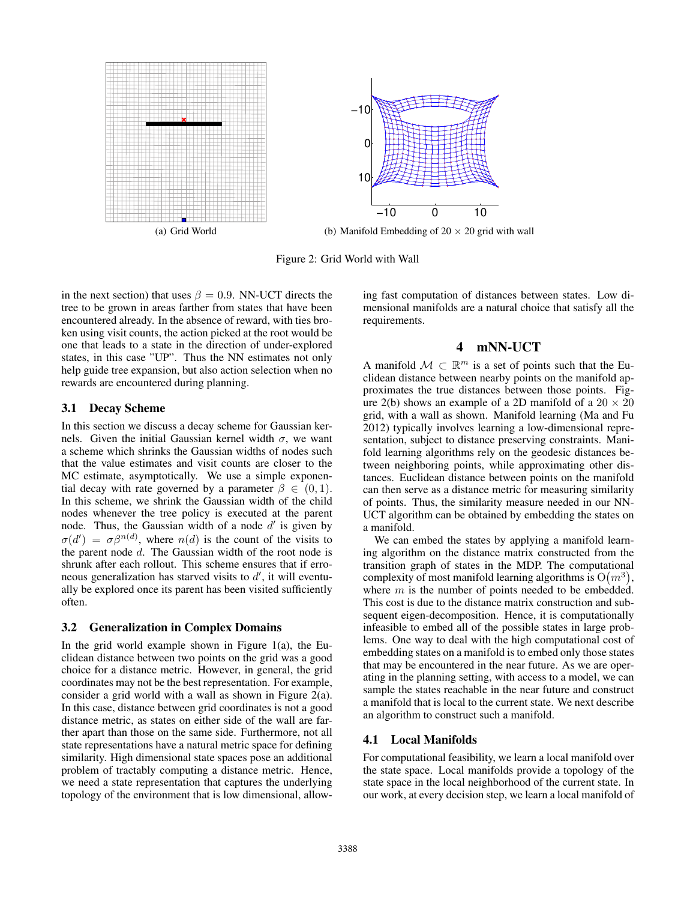

Figure 2: Grid World with Wall

in the next section) that uses  $\beta = 0.9$ . NN-UCT directs the tree to be grown in areas farther from states that have been encountered already. In the absence of reward, with ties broken using visit counts, the action picked at the root would be one that leads to a state in the direction of under-explored states, in this case "UP". Thus the NN estimates not only help guide tree expansion, but also action selection when no rewards are encountered during planning.

#### 3.1 Decay Scheme

In this section we discuss a decay scheme for Gaussian kernels. Given the initial Gaussian kernel width  $\sigma$ , we want a scheme which shrinks the Gaussian widths of nodes such that the value estimates and visit counts are closer to the MC estimate, asymptotically. We use a simple exponential decay with rate governed by a parameter  $\beta \in (0, 1)$ . In this scheme, we shrink the Gaussian width of the child nodes whenever the tree policy is executed at the parent node. Thus, the Gaussian width of a node  $d'$  is given by  $\sigma(d') = \sigma\beta^{n(d)}$ , where  $n(d)$  is the count of the visits to the parent node d. The Gaussian width of the root node is shrunk after each rollout. This scheme ensures that if erroneous generalization has starved visits to  $d'$ , it will eventually be explored once its parent has been visited sufficiently often.

#### 3.2 Generalization in Complex Domains

In the grid world example shown in Figure 1(a), the Euclidean distance between two points on the grid was a good choice for a distance metric. However, in general, the grid coordinates may not be the best representation. For example, consider a grid world with a wall as shown in Figure 2(a). In this case, distance between grid coordinates is not a good distance metric, as states on either side of the wall are farther apart than those on the same side. Furthermore, not all state representations have a natural metric space for defining similarity. High dimensional state spaces pose an additional problem of tractably computing a distance metric. Hence, we need a state representation that captures the underlying topology of the environment that is low dimensional, allowing fast computation of distances between states. Low dimensional manifolds are a natural choice that satisfy all the requirements.

## 4 mNN-UCT

A manifold  $M \subset \mathbb{R}^m$  is a set of points such that the Euclidean distance between nearby points on the manifold approximates the true distances between those points. Figure 2(b) shows an example of a 2D manifold of a  $20 \times 20$ grid, with a wall as shown. Manifold learning (Ma and Fu 2012) typically involves learning a low-dimensional representation, subject to distance preserving constraints. Manifold learning algorithms rely on the geodesic distances between neighboring points, while approximating other distances. Euclidean distance between points on the manifold can then serve as a distance metric for measuring similarity of points. Thus, the similarity measure needed in our NN-UCT algorithm can be obtained by embedding the states on a manifold.

We can embed the states by applying a manifold learning algorithm on the distance matrix constructed from the transition graph of states in the MDP. The computational complexity of most manifold learning algorithms is  $O(m^3)$ , where  $m$  is the number of points needed to be embedded. This cost is due to the distance matrix construction and subsequent eigen-decomposition. Hence, it is computationally infeasible to embed all of the possible states in large problems. One way to deal with the high computational cost of embedding states on a manifold is to embed only those states that may be encountered in the near future. As we are operating in the planning setting, with access to a model, we can sample the states reachable in the near future and construct a manifold that is local to the current state. We next describe an algorithm to construct such a manifold.

#### 4.1 Local Manifolds

For computational feasibility, we learn a local manifold over the state space. Local manifolds provide a topology of the state space in the local neighborhood of the current state. In our work, at every decision step, we learn a local manifold of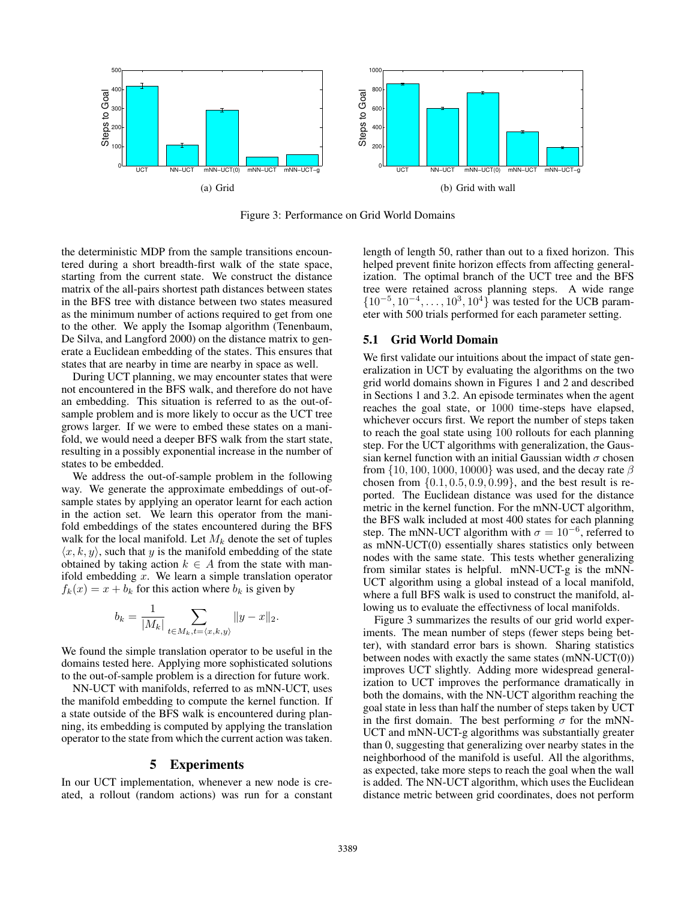

Figure 3: Performance on Grid World Domains

the deterministic MDP from the sample transitions encountered during a short breadth-first walk of the state space, starting from the current state. We construct the distance matrix of the all-pairs shortest path distances between states in the BFS tree with distance between two states measured as the minimum number of actions required to get from one to the other. We apply the Isomap algorithm (Tenenbaum, De Silva, and Langford 2000) on the distance matrix to generate a Euclidean embedding of the states. This ensures that states that are nearby in time are nearby in space as well.

During UCT planning, we may encounter states that were not encountered in the BFS walk, and therefore do not have an embedding. This situation is referred to as the out-ofsample problem and is more likely to occur as the UCT tree grows larger. If we were to embed these states on a manifold, we would need a deeper BFS walk from the start state, resulting in a possibly exponential increase in the number of states to be embedded.

We address the out-of-sample problem in the following way. We generate the approximate embeddings of out-ofsample states by applying an operator learnt for each action in the action set. We learn this operator from the manifold embeddings of the states encountered during the BFS walk for the local manifold. Let  $M_k$  denote the set of tuples  $\langle x, k, y \rangle$ , such that y is the manifold embedding of the state obtained by taking action  $k \in A$  from the state with manifold embedding  $x$ . We learn a simple translation operator  $f_k(x) = x + b_k$  for this action where  $b_k$  is given by

$$
b_k = \frac{1}{|M_k|} \sum_{t \in M_k, t = \langle x, k, y \rangle} ||y - x||_2.
$$

We found the simple translation operator to be useful in the domains tested here. Applying more sophisticated solutions to the out-of-sample problem is a direction for future work.

NN-UCT with manifolds, referred to as mNN-UCT, uses the manifold embedding to compute the kernel function. If a state outside of the BFS walk is encountered during planning, its embedding is computed by applying the translation operator to the state from which the current action was taken.

#### 5 Experiments

In our UCT implementation, whenever a new node is created, a rollout (random actions) was run for a constant length of length 50, rather than out to a fixed horizon. This helped prevent finite horizon effects from affecting generalization. The optimal branch of the UCT tree and the BFS tree were retained across planning steps. A wide range  $\{10^{-5}, 10^{-4}, \ldots, 10^{3}, 10^{4}\}$  was tested for the UCB parameter with 500 trials performed for each parameter setting.

#### 5.1 Grid World Domain

We first validate our intuitions about the impact of state generalization in UCT by evaluating the algorithms on the two grid world domains shown in Figures 1 and 2 and described in Sections 1 and 3.2. An episode terminates when the agent reaches the goal state, or 1000 time-steps have elapsed, whichever occurs first. We report the number of steps taken to reach the goal state using 100 rollouts for each planning step. For the UCT algorithms with generalization, the Gaussian kernel function with an initial Gaussian width  $\sigma$  chosen from  $\{10, 100, 1000, 10000\}$  was used, and the decay rate  $\beta$ chosen from  $\{0.1, 0.5, 0.9, 0.99\}$ , and the best result is reported. The Euclidean distance was used for the distance metric in the kernel function. For the mNN-UCT algorithm, the BFS walk included at most 400 states for each planning step. The mNN-UCT algorithm with  $\sigma = 10^{-6}$ , referred to as mNN-UCT(0) essentially shares statistics only between nodes with the same state. This tests whether generalizing from similar states is helpful. mNN-UCT-g is the mNN-UCT algorithm using a global instead of a local manifold, where a full BFS walk is used to construct the manifold, allowing us to evaluate the effectivness of local manifolds.

Figure 3 summarizes the results of our grid world experiments. The mean number of steps (fewer steps being better), with standard error bars is shown. Sharing statistics between nodes with exactly the same states (mNN-UCT(0)) improves UCT slightly. Adding more widespread generalization to UCT improves the performance dramatically in both the domains, with the NN-UCT algorithm reaching the goal state in less than half the number of steps taken by UCT in the first domain. The best performing  $\sigma$  for the mNN-UCT and mNN-UCT-g algorithms was substantially greater than 0, suggesting that generalizing over nearby states in the neighborhood of the manifold is useful. All the algorithms, as expected, take more steps to reach the goal when the wall is added. The NN-UCT algorithm, which uses the Euclidean distance metric between grid coordinates, does not perform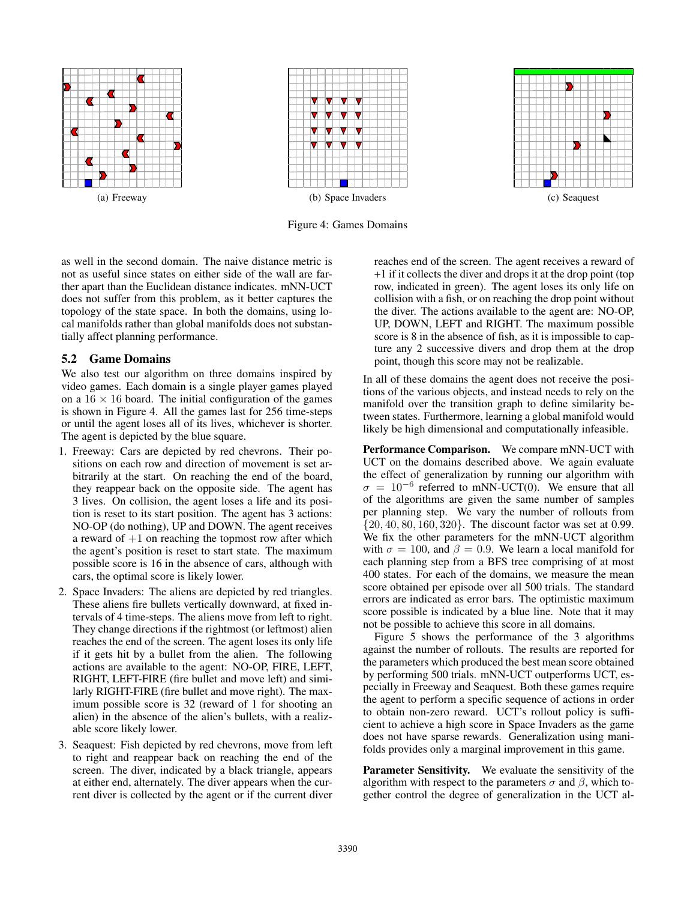

Figure 4: Games Domains

as well in the second domain. The naive distance metric is not as useful since states on either side of the wall are farther apart than the Euclidean distance indicates. mNN-UCT does not suffer from this problem, as it better captures the topology of the state space. In both the domains, using local manifolds rather than global manifolds does not substantially affect planning performance.

### 5.2 Game Domains

We also test our algorithm on three domains inspired by video games. Each domain is a single player games played on a  $16 \times 16$  board. The initial configuration of the games is shown in Figure 4. All the games last for 256 time-steps or until the agent loses all of its lives, whichever is shorter. The agent is depicted by the blue square.

- 1. Freeway: Cars are depicted by red chevrons. Their positions on each row and direction of movement is set arbitrarily at the start. On reaching the end of the board, they reappear back on the opposite side. The agent has 3 lives. On collision, the agent loses a life and its position is reset to its start position. The agent has 3 actions: NO-OP (do nothing), UP and DOWN. The agent receives a reward of  $+1$  on reaching the topmost row after which the agent's position is reset to start state. The maximum possible score is 16 in the absence of cars, although with cars, the optimal score is likely lower.
- 2. Space Invaders: The aliens are depicted by red triangles. These aliens fire bullets vertically downward, at fixed intervals of 4 time-steps. The aliens move from left to right. They change directions if the rightmost (or leftmost) alien reaches the end of the screen. The agent loses its only life if it gets hit by a bullet from the alien. The following actions are available to the agent: NO-OP, FIRE, LEFT, RIGHT, LEFT-FIRE (fire bullet and move left) and similarly RIGHT-FIRE (fire bullet and move right). The maximum possible score is 32 (reward of 1 for shooting an alien) in the absence of the alien's bullets, with a realizable score likely lower.
- 3. Seaquest: Fish depicted by red chevrons, move from left to right and reappear back on reaching the end of the screen. The diver, indicated by a black triangle, appears at either end, alternately. The diver appears when the current diver is collected by the agent or if the current diver

reaches end of the screen. The agent receives a reward of +1 if it collects the diver and drops it at the drop point (top row, indicated in green). The agent loses its only life on collision with a fish, or on reaching the drop point without the diver. The actions available to the agent are: NO-OP, UP, DOWN, LEFT and RIGHT. The maximum possible score is 8 in the absence of fish, as it is impossible to capture any 2 successive divers and drop them at the drop point, though this score may not be realizable.

In all of these domains the agent does not receive the positions of the various objects, and instead needs to rely on the manifold over the transition graph to define similarity between states. Furthermore, learning a global manifold would likely be high dimensional and computationally infeasible.

Performance Comparison. We compare mNN-UCT with UCT on the domains described above. We again evaluate the effect of generalization by running our algorithm with  $\sigma = 10^{-6}$  referred to mNN-UCT(0). We ensure that all of the algorithms are given the same number of samples per planning step. We vary the number of rollouts from {20, 40, 80, 160, 320}. The discount factor was set at 0.99. We fix the other parameters for the mNN-UCT algorithm with  $\sigma = 100$ , and  $\beta = 0.9$ . We learn a local manifold for each planning step from a BFS tree comprising of at most 400 states. For each of the domains, we measure the mean score obtained per episode over all 500 trials. The standard errors are indicated as error bars. The optimistic maximum score possible is indicated by a blue line. Note that it may not be possible to achieve this score in all domains.

Figure 5 shows the performance of the 3 algorithms against the number of rollouts. The results are reported for the parameters which produced the best mean score obtained by performing 500 trials. mNN-UCT outperforms UCT, especially in Freeway and Seaquest. Both these games require the agent to perform a specific sequence of actions in order to obtain non-zero reward. UCT's rollout policy is sufficient to achieve a high score in Space Invaders as the game does not have sparse rewards. Generalization using manifolds provides only a marginal improvement in this game.

Parameter Sensitivity. We evaluate the sensitivity of the algorithm with respect to the parameters  $\sigma$  and  $\beta$ , which together control the degree of generalization in the UCT al-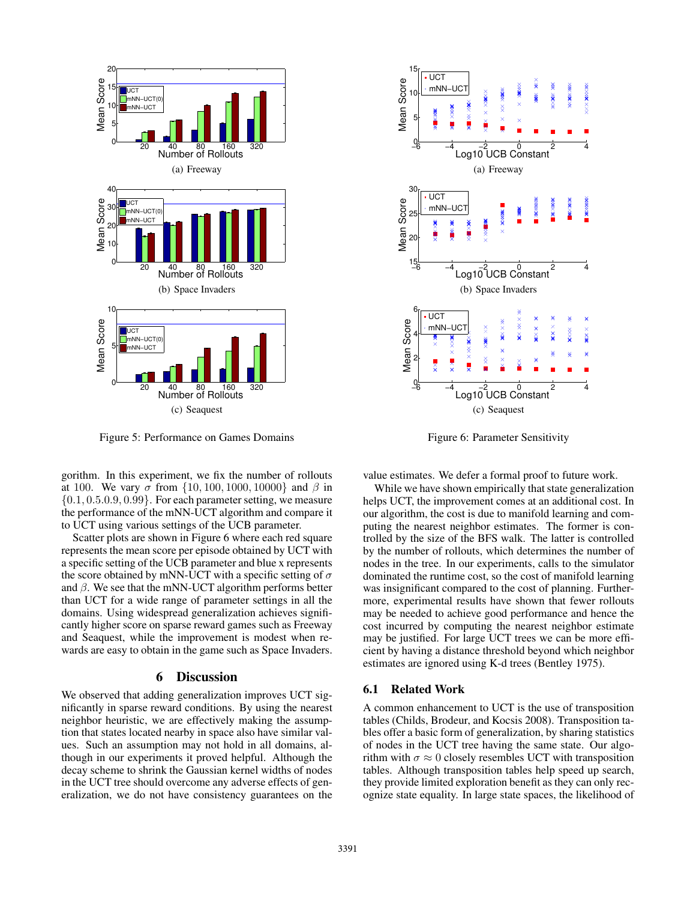

Figure 5: Performance on Games Domains

gorithm. In this experiment, we fix the number of rollouts at 100. We vary σ from  $\{10, 100, 1000, 10000\}$  and β in  $\{0.1, 0.5.0.9, 0.99\}$ . For each parameter setting, we measure the performance of the mNN-UCT algorithm and compare it to UCT using various settings of the UCB parameter.

Scatter plots are shown in Figure 6 where each red square represents the mean score per episode obtained by UCT with a specific setting of the UCB parameter and blue x represents the score obtained by mNN-UCT with a specific setting of  $\sigma$ and  $\beta$ . We see that the mNN-UCT algorithm performs better than UCT for a wide range of parameter settings in all the domains. Using widespread generalization achieves significantly higher score on sparse reward games such as Freeway and Seaquest, while the improvement is modest when rewards are easy to obtain in the game such as Space Invaders.

## 6 Discussion

We observed that adding generalization improves UCT significantly in sparse reward conditions. By using the nearest neighbor heuristic, we are effectively making the assumption that states located nearby in space also have similar values. Such an assumption may not hold in all domains, although in our experiments it proved helpful. Although the decay scheme to shrink the Gaussian kernel widths of nodes in the UCT tree should overcome any adverse effects of generalization, we do not have consistency guarantees on the



Figure 6: Parameter Sensitivity

value estimates. We defer a formal proof to future work.

While we have shown empirically that state generalization helps UCT, the improvement comes at an additional cost. In our algorithm, the cost is due to manifold learning and computing the nearest neighbor estimates. The former is controlled by the size of the BFS walk. The latter is controlled by the number of rollouts, which determines the number of nodes in the tree. In our experiments, calls to the simulator dominated the runtime cost, so the cost of manifold learning was insignificant compared to the cost of planning. Furthermore, experimental results have shown that fewer rollouts may be needed to achieve good performance and hence the cost incurred by computing the nearest neighbor estimate may be justified. For large UCT trees we can be more efficient by having a distance threshold beyond which neighbor estimates are ignored using K-d trees (Bentley 1975).

### 6.1 Related Work

A common enhancement to UCT is the use of transposition tables (Childs, Brodeur, and Kocsis 2008). Transposition tables offer a basic form of generalization, by sharing statistics of nodes in the UCT tree having the same state. Our algorithm with  $\sigma \approx 0$  closely resembles UCT with transposition tables. Although transposition tables help speed up search, they provide limited exploration benefit as they can only recognize state equality. In large state spaces, the likelihood of